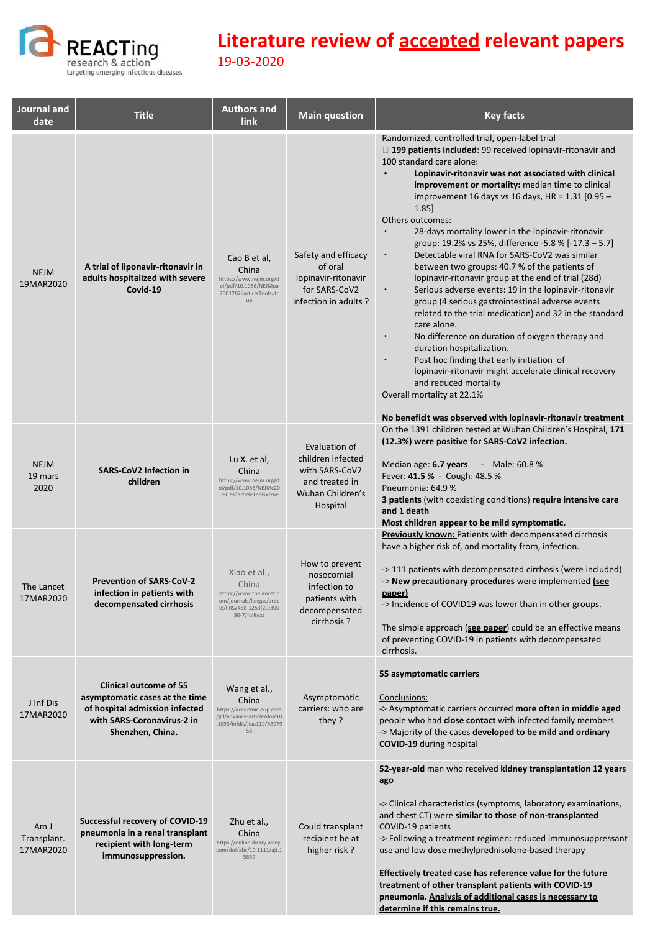

| Journal and<br>date              | <b>Title</b>                                                                                                                                        | <b>Authors and</b><br>link                                                                                               | <b>Main question</b>                                                                                   | <b>Key facts</b>                                                                                                                                                                                                                                                                                                                                                                                                                                                                                                                                                                                                                                                                                                                                                                                                                                                                                                                                                                                                                                                                                                                                                                         |
|----------------------------------|-----------------------------------------------------------------------------------------------------------------------------------------------------|--------------------------------------------------------------------------------------------------------------------------|--------------------------------------------------------------------------------------------------------|------------------------------------------------------------------------------------------------------------------------------------------------------------------------------------------------------------------------------------------------------------------------------------------------------------------------------------------------------------------------------------------------------------------------------------------------------------------------------------------------------------------------------------------------------------------------------------------------------------------------------------------------------------------------------------------------------------------------------------------------------------------------------------------------------------------------------------------------------------------------------------------------------------------------------------------------------------------------------------------------------------------------------------------------------------------------------------------------------------------------------------------------------------------------------------------|
| <b>NEJM</b><br>19MAR2020         | A trial of liponavir-ritonavir in<br>adults hospitalized with severe<br>Covid-19                                                                    | Cao B et al,<br>China<br>https://www.nejm.org/d<br>oi/pdf/10.1056/NEJMoa<br>2001282?articleTools=tr<br>не                | Safety and efficacy<br>of oral<br>lopinavir-ritonavir<br>for SARS-CoV2<br>infection in adults?         | Randomized, controlled trial, open-label trial<br>□ 199 patients included: 99 received lopinavir-ritonavir and<br>100 standard care alone:<br>$\bullet$<br>Lopinavir-ritonavir was not associated with clinical<br>improvement or mortality: median time to clinical<br>improvement 16 days vs 16 days, $HR = 1.31$ [0.95 –<br>1.85<br>Others outcomes:<br>$\bullet$<br>28-days mortality lower in the lopinavir-ritonavir<br>group: 19.2% vs 25%, difference -5.8 % [-17.3 - 5.7]<br>Detectable viral RNA for SARS-CoV2 was similar<br>$\bullet$<br>between two groups: 40.7 % of the patients of<br>lopinavir-ritonavir group at the end of trial (28d)<br>Serious adverse events: 19 in the lopinavir-ritonavir<br>$\bullet$<br>group (4 serious gastrointestinal adverse events<br>related to the trial medication) and 32 in the standard<br>care alone.<br>No difference on duration of oxygen therapy and<br>$\bullet$<br>duration hospitalization.<br>Post hoc finding that early initiation of<br>lopinavir-ritonavir might accelerate clinical recovery<br>and reduced mortality<br>Overall mortality at 22.1%<br>No beneficit was observed with lopinavir-ritonavir treatment |
| <b>NEJM</b><br>19 mars<br>2020   | <b>SARS-CoV2 Infection in</b><br>children                                                                                                           | Lu X. et al,<br>China<br>https://www.nejm.org/d<br>oi/pdf/10.1056/NEJMc20<br>05073?articleTools=true                     | Evaluation of<br>children infected<br>with SARS-CoV2<br>and treated in<br>Wuhan Children's<br>Hospital | On the 1391 children tested at Wuhan Children's Hospital, 171<br>(12.3%) were positive for SARS-CoV2 infection.<br>Median age: 6.7 years - Male: 60.8 %<br>Fever: 41.5 % - Cough: 48.5 %<br>Pneumonia: 64.9%<br><b>3 patients</b> (with coexisting conditions) require intensive care<br>and 1 death<br>Most children appear to be mild symptomatic.                                                                                                                                                                                                                                                                                                                                                                                                                                                                                                                                                                                                                                                                                                                                                                                                                                     |
| The Lancet<br>17MAR2020          | <b>Prevention of SARS-CoV-2</b><br>infection in patients with<br>decompensated cirrhosis                                                            | Xiao et al.,<br>China<br>https://www.thelancet.c<br>om/journals/langas/artic<br>le/PIIS2468-1253(20)300<br>80-7/fulltext | How to prevent<br>nosocomial<br>infection to<br>patients with<br>decompensated<br>cirrhosis?           | <b>Previously known:</b> Patients with decompensated cirrhosis<br>have a higher risk of, and mortality from, infection.<br>->111 patients with decompensated cirrhosis (were included)<br>-> New precautionary procedures were implemented (see<br>paper)<br>-> Incidence of COVID19 was lower than in other groups.<br>The simple approach (see paper) could be an effective means<br>of preventing COVID-19 in patients with decompensated<br>cirrhosis.                                                                                                                                                                                                                                                                                                                                                                                                                                                                                                                                                                                                                                                                                                                               |
| J Inf Dis<br>17MAR2020           | <b>Clinical outcome of 55</b><br>asymptomatic cases at the time<br>of hospital admission infected<br>with SARS-Coronavirus-2 in<br>Shenzhen, China. | Wang et al.,<br>China<br>https://academic.oup.com<br>/jid/advance-article/doi/10<br>.1093/infdis/jiaa119/58079<br>58     | Asymptomatic<br>carriers: who are<br>they?                                                             | 55 asymptomatic carriers<br>Conclusions:<br>-> Asymptomatic carriers occurred more often in middle aged<br>people who had close contact with infected family members<br>-> Majority of the cases developed to be mild and ordinary<br><b>COVID-19 during hospital</b>                                                                                                                                                                                                                                                                                                                                                                                                                                                                                                                                                                                                                                                                                                                                                                                                                                                                                                                    |
| Am J<br>Transplant.<br>17MAR2020 | Successful recovery of COVID-19<br>pneumonia in a renal transplant<br>recipient with long-term<br>immunosuppression.                                | Zhu et al.,<br>China<br>https://onlinelibrary.wiley.<br>com/doi/abs/10.1111/ajt.1<br>5869                                | Could transplant<br>recipient be at<br>higher risk?                                                    | 52-year-old man who received kidney transplantation 12 years<br>ago<br>-> Clinical characteristics (symptoms, laboratory examinations,<br>and chest CT) were similar to those of non-transplanted<br>COVID-19 patients<br>-> Following a treatment regimen: reduced immunosuppressant<br>use and low dose methylprednisolone-based therapy<br>Effectively treated case has reference value for the future<br>treatment of other transplant patients with COVID-19<br>pneumonia. Analysis of additional cases is necessary to<br>determine if this remains true.                                                                                                                                                                                                                                                                                                                                                                                                                                                                                                                                                                                                                          |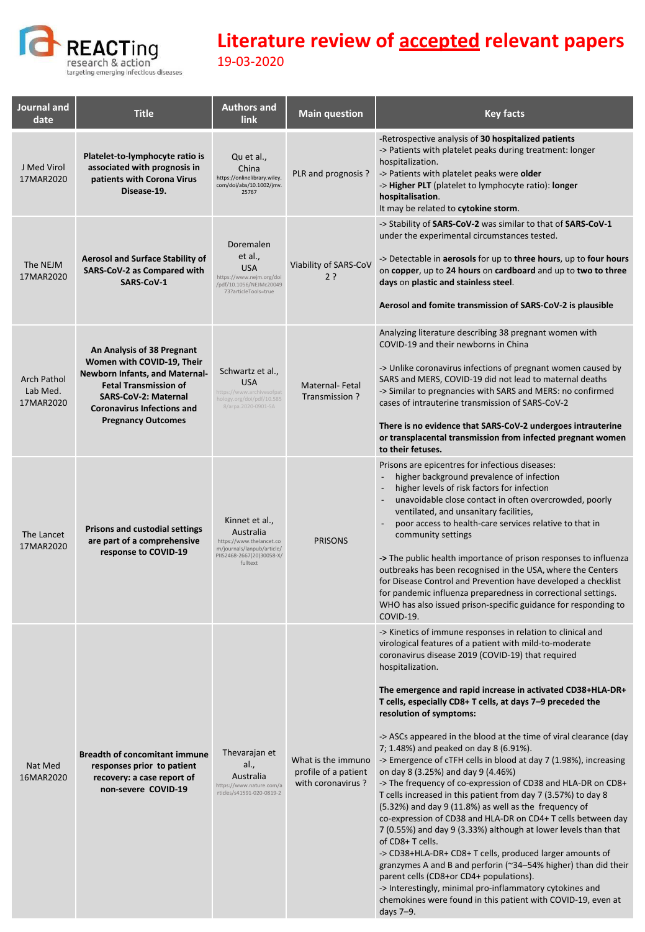

| Journal and<br>date                         | <b>Title</b>                                                                                                                                                                                                         | <b>Authors and</b><br>link                                                                                                     | <b>Main question</b>                                            | <b>Key facts</b>                                                                                                                                                                                                                                                                                                                                                                                                                                                                                                                                                                                                                                                                                                                                                                                                                                                                                                                                                                                                                                                                                                                                                                                                                                            |
|---------------------------------------------|----------------------------------------------------------------------------------------------------------------------------------------------------------------------------------------------------------------------|--------------------------------------------------------------------------------------------------------------------------------|-----------------------------------------------------------------|-------------------------------------------------------------------------------------------------------------------------------------------------------------------------------------------------------------------------------------------------------------------------------------------------------------------------------------------------------------------------------------------------------------------------------------------------------------------------------------------------------------------------------------------------------------------------------------------------------------------------------------------------------------------------------------------------------------------------------------------------------------------------------------------------------------------------------------------------------------------------------------------------------------------------------------------------------------------------------------------------------------------------------------------------------------------------------------------------------------------------------------------------------------------------------------------------------------------------------------------------------------|
| J Med Virol<br>17MAR2020                    | Platelet-to-lymphocyte ratio is<br>associated with prognosis in<br>patients with Corona Virus<br>Disease-19.                                                                                                         | Qu et al.,<br>China<br>https://onlinelibrary.wiley.<br>com/doi/abs/10.1002/jmv.<br>25767                                       | PLR and prognosis ?                                             | -Retrospective analysis of 30 hospitalized patients<br>-> Patients with platelet peaks during treatment: longer<br>hospitalization.<br>-> Patients with platelet peaks were older<br>-> Higher PLT (platelet to lymphocyte ratio): longer<br>hospitalisation.<br>It may be related to cytokine storm.                                                                                                                                                                                                                                                                                                                                                                                                                                                                                                                                                                                                                                                                                                                                                                                                                                                                                                                                                       |
| The NEJM<br>17MAR2020                       | <b>Aerosol and Surface Stability of</b><br>SARS-CoV-2 as Compared with<br><b>SARS-CoV-1</b>                                                                                                                          | Doremalen<br>et al.,<br><b>USA</b><br>https://www.nejm.org/doi<br>/pdf/10.1056/NEJMc20049<br>73?articleTools=true              | Viability of SARS-CoV<br>2?                                     | -> Stability of SARS-CoV-2 was similar to that of SARS-CoV-1<br>under the experimental circumstances tested.<br>-> Detectable in aerosols for up to three hours, up to four hours<br>on copper, up to 24 hours on cardboard and up to two to three<br>days on plastic and stainless steel.<br>Aerosol and fomite transmission of SARS-CoV-2 is plausible                                                                                                                                                                                                                                                                                                                                                                                                                                                                                                                                                                                                                                                                                                                                                                                                                                                                                                    |
| <b>Arch Pathol</b><br>Lab Med.<br>17MAR2020 | An Analysis of 38 Pregnant<br>Women with COVID-19, Their<br>Newborn Infants, and Maternal-<br><b>Fetal Transmission of</b><br>SARS-CoV-2: Maternal<br><b>Coronavirus Infections and</b><br><b>Pregnancy Outcomes</b> | Schwartz et al.,<br><b>USA</b><br>https://www.archivesofpat<br>hology.org/doi/pdf/10.585<br>8/arpa.2020-0901-SA                | Maternal-Fetal<br>Transmission?                                 | Analyzing literature describing 38 pregnant women with<br>COVID-19 and their newborns in China<br>-> Unlike coronavirus infections of pregnant women caused by<br>SARS and MERS, COVID-19 did not lead to maternal deaths<br>-> Similar to pregnancies with SARS and MERS: no confirmed<br>cases of intrauterine transmission of SARS-CoV-2<br>There is no evidence that SARS-CoV-2 undergoes intrauterine<br>or transplacental transmission from infected pregnant women<br>to their fetuses.                                                                                                                                                                                                                                                                                                                                                                                                                                                                                                                                                                                                                                                                                                                                                              |
| The Lancet<br>17MAR2020                     | <b>Prisons and custodial settings</b><br>are part of a comprehensive<br>response to COVID-19                                                                                                                         | Kinnet et al.,<br>Australia<br>https://www.thelancet.co<br>m/journals/lanpub/article/<br>PIIS2468-2667(20)30058-X/<br>fulltext | <b>PRISONS</b>                                                  | Prisons are epicentres for infectious diseases:<br>higher background prevalence of infection<br>higher levels of risk factors for infection<br>$\overline{\phantom{a}}$<br>unavoidable close contact in often overcrowded, poorly<br>ventilated, and unsanitary facilities,<br>poor access to health-care services relative to that in<br>community settings<br>-> The public health importance of prison responses to influenza<br>outbreaks has been recognised in the USA, where the Centers<br>for Disease Control and Prevention have developed a checklist<br>for pandemic influenza preparedness in correctional settings.<br>WHO has also issued prison-specific guidance for responding to<br>COVID-19.                                                                                                                                                                                                                                                                                                                                                                                                                                                                                                                                            |
| Nat Med<br>16MAR2020                        | <b>Breadth of concomitant immune</b><br>responses prior to patient<br>recovery: a case report of<br>non-severe COVID-19                                                                                              | Thevarajan et<br>al.,<br>Australia<br>https://www.nature.com/a<br>rticles/s41591-020-0819-2                                    | What is the immuno<br>profile of a patient<br>with coronavirus? | -> Kinetics of immune responses in relation to clinical and<br>virological features of a patient with mild-to-moderate<br>coronavirus disease 2019 (COVID-19) that required<br>hospitalization.<br>The emergence and rapid increase in activated CD38+HLA-DR+<br>T cells, especially CD8+ T cells, at days 7-9 preceded the<br>resolution of symptoms:<br>-> ASCs appeared in the blood at the time of viral clearance (day<br>7; 1.48%) and peaked on day 8 (6.91%).<br>-> Emergence of cTFH cells in blood at day 7 (1.98%), increasing<br>on day 8 (3.25%) and day 9 (4.46%)<br>-> The frequency of co-expression of CD38 and HLA-DR on CD8+<br>T cells increased in this patient from day 7 (3.57%) to day 8<br>(5.32%) and day 9 (11.8%) as well as the frequency of<br>co-expression of CD38 and HLA-DR on CD4+ T cells between day<br>7 (0.55%) and day 9 (3.33%) although at lower levels than that<br>of CD8+ T cells.<br>-> CD38+HLA-DR+ CD8+ T cells, produced larger amounts of<br>granzymes A and B and perforin ( $\approx$ 34–54% higher) than did their<br>parent cells (CD8+or CD4+ populations).<br>-> Interestingly, minimal pro-inflammatory cytokines and<br>chemokines were found in this patient with COVID-19, even at<br>days 7-9. |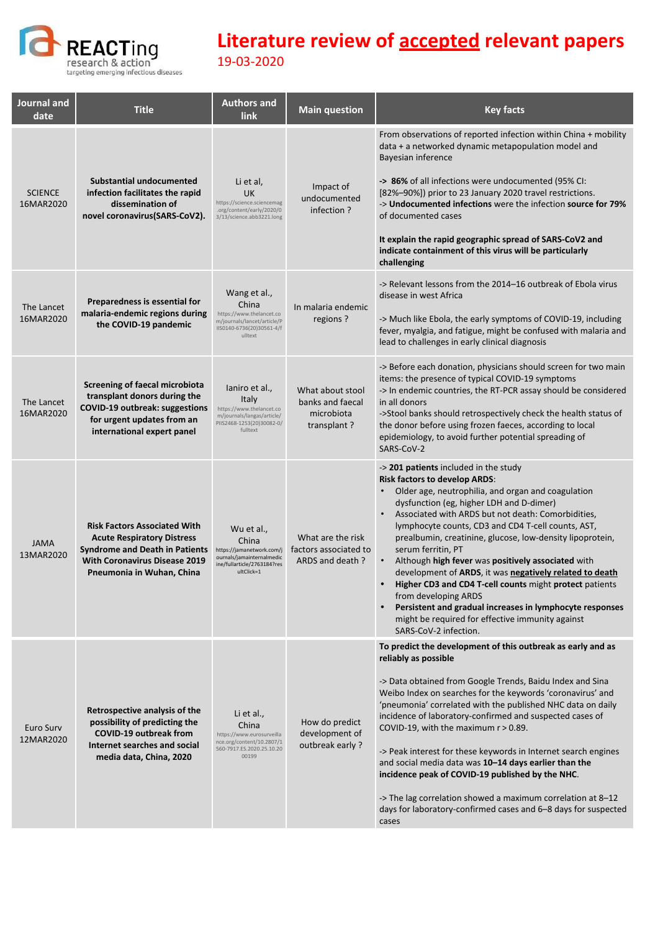

| <b>Journal and</b><br>date  | <b>Title</b>                                                                                                                                                                           | <b>Authors and</b><br><b>link</b>                                                                                          | <b>Main question</b>                                              | <b>Key facts</b>                                                                                                                                                                                                                                                                                                                                                                                                                                                                                                                                                                                                                                                                                                            |
|-----------------------------|----------------------------------------------------------------------------------------------------------------------------------------------------------------------------------------|----------------------------------------------------------------------------------------------------------------------------|-------------------------------------------------------------------|-----------------------------------------------------------------------------------------------------------------------------------------------------------------------------------------------------------------------------------------------------------------------------------------------------------------------------------------------------------------------------------------------------------------------------------------------------------------------------------------------------------------------------------------------------------------------------------------------------------------------------------------------------------------------------------------------------------------------------|
| <b>SCIENCE</b><br>16MAR2020 | Substantial undocumented<br>infection facilitates the rapid<br>dissemination of<br>novel coronavirus(SARS-CoV2).                                                                       | Li et al,<br><b>UK</b><br>https://science.sciencemag<br>.org/content/early/2020/0<br>3/13/science.abb3221.long             | Impact of<br>undocumented<br>infection?                           | From observations of reported infection within China + mobility<br>data + a networked dynamic metapopulation model and<br>Bayesian inference<br>-> 86% of all infections were undocumented (95% CI:<br>[82%-90%]) prior to 23 January 2020 travel restrictions.<br>-> Undocumented infections were the infection source for 79%<br>of documented cases<br>It explain the rapid geographic spread of SARS-CoV2 and<br>indicate containment of this virus will be particularly<br>challenging                                                                                                                                                                                                                                 |
| The Lancet<br>16MAR2020     | Preparedness is essential for<br>malaria-endemic regions during<br>the COVID-19 pandemic                                                                                               | Wang et al.,<br>China<br>https://www.thelancet.co<br>m/journals/lancet/article/P<br>IIS0140-6736(20)30561-4/f<br>ulltext   | In malaria endemic<br>regions?                                    | -> Relevant lessons from the 2014-16 outbreak of Ebola virus<br>disease in west Africa<br>-> Much like Ebola, the early symptoms of COVID-19, including<br>fever, myalgia, and fatigue, might be confused with malaria and<br>lead to challenges in early clinical diagnosis                                                                                                                                                                                                                                                                                                                                                                                                                                                |
| The Lancet<br>16MAR2020     | <b>Screening of faecal microbiota</b><br>transplant donors during the<br>COVID-19 outbreak: suggestions<br>for urgent updates from an<br>international expert panel                    | laniro et al.,<br>Italy<br>https://www.thelancet.co<br>m/journals/langas/article/<br>PIIS2468-1253(20)30082-0/<br>fulltext | What about stool<br>banks and faecal<br>microbiota<br>transplant? | -> Before each donation, physicians should screen for two main<br>items: the presence of typical COVID-19 symptoms<br>-> In endemic countries, the RT-PCR assay should be considered<br>in all donors<br>->Stool banks should retrospectively check the health status of<br>the donor before using frozen faeces, according to local<br>epidemiology, to avoid further potential spreading of<br>SARS-CoV-2                                                                                                                                                                                                                                                                                                                 |
| <b>JAMA</b><br>13MAR2020    | <b>Risk Factors Associated With</b><br><b>Acute Respiratory Distress</b><br><b>Syndrome and Death in Patients</b><br><b>With Coronavirus Disease 2019</b><br>Pneumonia in Wuhan, China | Wu et al.,<br>China<br>https://jamanetwork.com/j<br>ournals/jamainternalmedic<br>ine/fullarticle/2763184?res<br>ultClick=1 | What are the risk<br>factors associated to<br>ARDS and death ?    | -> 201 patients included in the study<br><b>Risk factors to develop ARDS:</b><br>Older age, neutrophilia, and organ and coagulation<br>dysfunction (eg, higher LDH and D-dimer)<br>Associated with ARDS but not death: Comorbidities,<br>lymphocyte counts, CD3 and CD4 T-cell counts, AST,<br>prealbumin, creatinine, glucose, low-density lipoprotein,<br>serum ferritin, PT<br>Although high fever was positively associated with<br>development of ARDS, it was negatively related to death<br>Higher CD3 and CD4 T-cell counts might protect patients<br>from developing ARDS<br>Persistent and gradual increases in lymphocyte responses<br>might be required for effective immunity against<br>SARS-CoV-2 infection. |
| Euro Surv<br>12MAR2020      | Retrospective analysis of the<br>possibility of predicting the<br><b>COVID-19 outbreak from</b><br>Internet searches and social<br>media data, China, 2020                             | Li et al.,<br>China<br>https://www.eurosurveilla<br>nce.org/content/10.2807/1<br>560-7917.ES.2020.25.10.20<br>00199        | How do predict<br>development of<br>outbreak early?               | To predict the development of this outbreak as early and as<br>reliably as possible<br>-> Data obtained from Google Trends, Baidu Index and Sina<br>Weibo Index on searches for the keywords 'coronavirus' and<br>'pneumonia' correlated with the published NHC data on daily<br>incidence of laboratory-confirmed and suspected cases of<br>COVID-19, with the maximum r > 0.89.<br>-> Peak interest for these keywords in Internet search engines<br>and social media data was 10-14 days earlier than the<br>incidence peak of COVID-19 published by the NHC.<br>-> The lag correlation showed a maximum correlation at 8-12<br>days for laboratory-confirmed cases and 6-8 days for suspected<br>cases                  |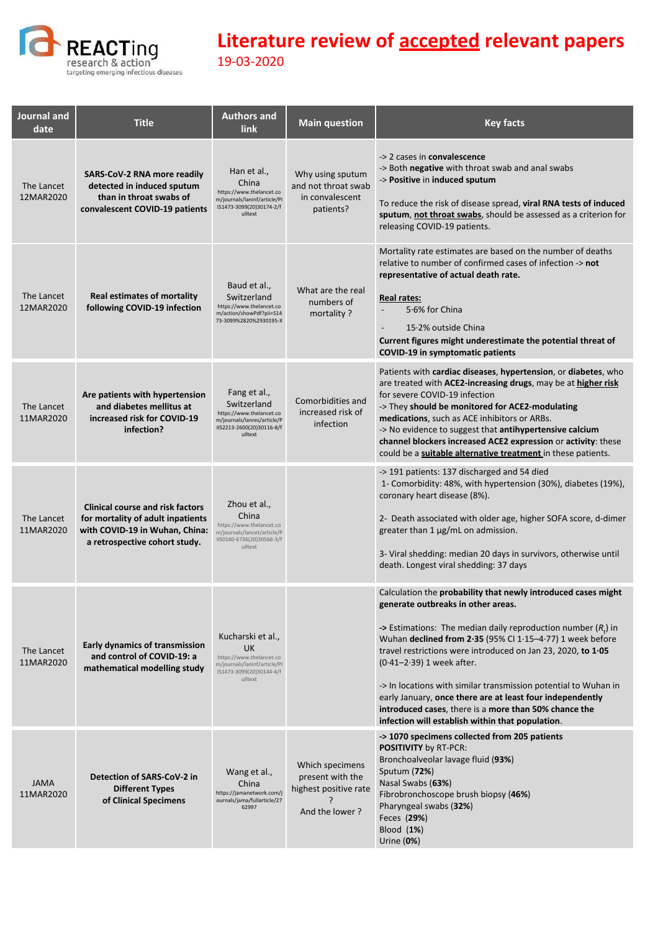

| Journal and<br>date      | <b>Title</b>                                                                                                                                    | <b>Authors and</b><br>link                                                                                                     | <b>Main question</b>                                                           | <b>Key facts</b>                                                                                                                                                                                                                                                                                                                                                                                                                                                                                                                                                                  |
|--------------------------|-------------------------------------------------------------------------------------------------------------------------------------------------|--------------------------------------------------------------------------------------------------------------------------------|--------------------------------------------------------------------------------|-----------------------------------------------------------------------------------------------------------------------------------------------------------------------------------------------------------------------------------------------------------------------------------------------------------------------------------------------------------------------------------------------------------------------------------------------------------------------------------------------------------------------------------------------------------------------------------|
| The Lancet<br>12MAR2020  | <b>SARS-CoV-2 RNA more readily</b><br>detected in induced sputum<br>than in throat swabs of<br>convalescent COVID-19 patients                   | Han et al.,<br>China<br>https://www.thelancet.co<br>m/journals/laninf/article/PI<br>IS1473-3099(20)30174-2/f<br>ulltext        | Why using sputum<br>and not throat swab<br>in convalescent<br>patients?        | -> 2 cases in convalescence<br>-> Both negative with throat swab and anal swabs<br>-> Positive in induced sputum<br>To reduce the risk of disease spread, viral RNA tests of induced<br>sputum, not throat swabs, should be assessed as a criterion for<br>releasing COVID-19 patients.                                                                                                                                                                                                                                                                                           |
| The Lancet<br>12MAR2020  | <b>Real estimates of mortality</b><br>following COVID-19 infection                                                                              | Baud et al.,<br>Switzerland<br>https://www.thelancet.co<br>m/action/showPdf?pii=S14<br>73-3099%2820%2930195-X                  | What are the real<br>numbers of<br>mortality?                                  | Mortality rate estimates are based on the number of deaths<br>relative to number of confirmed cases of infection -> not<br>representative of actual death rate.<br>Real rates:<br>5.6% for China<br>15.2% outside China<br>Current figures might underestimate the potential threat of<br><b>COVID-19 in symptomatic patients</b>                                                                                                                                                                                                                                                 |
| The Lancet<br>11MAR2020  | Are patients with hypertension<br>and diabetes mellitus at<br>increased risk for COVID-19<br>infection?                                         | Fang et al.,<br>Switzerland<br>https://www.thelancet.co<br>m/journals/lanres/article/P<br>IIS2213-2600(20)30116-8/f<br>ulltext | Comorbidities and<br>increased risk of<br>infection                            | Patients with cardiac diseases, hypertension, or diabetes, who<br>are treated with ACE2-increasing drugs, may be at higher risk<br>for severe COVID-19 infection<br>-> They should be monitored for ACE2-modulating<br>medications, such as ACE inhibitors or ARBs.<br>-> No evidence to suggest that antihypertensive calcium<br>channel blockers increased ACE2 expression or activity: these<br>could be a <b>suitable alternative treatment</b> in these patients.                                                                                                            |
| The Lancet<br>11MAR2020  | <b>Clinical course and risk factors</b><br>for mortality of adult inpatients<br>with COVID-19 in Wuhan, China:<br>a retrospective cohort study. | Zhou et al.,<br>China<br>https://www.thelancet.co<br>m/journals/lancet/article/P<br>IIS0140-6736(20)30566-3/f<br>ulltext       |                                                                                | -> 191 patients: 137 discharged and 54 died<br>1- Comorbidity: 48%, with hypertension (30%), diabetes (19%),<br>coronary heart disease (8%).<br>2- Death associated with older age, higher SOFA score, d-dimer<br>greater than $1 \mu g/mL$ on admission.<br>3- Viral shedding: median 20 days in survivors, otherwise until<br>death. Longest viral shedding: 37 days                                                                                                                                                                                                            |
| The Lancet<br>11MAR2020  | <b>Early dynamics of transmission</b><br>and control of COVID-19: a<br>mathematical modelling study                                             | Kucharski et al.,<br>UK.<br>https://www.thelancet.co<br>m/journals/laninf/article/PI<br>IS1473-3099(20)30144-4/f<br>ulltext    |                                                                                | Calculation the probability that newly introduced cases might<br>generate outbreaks in other areas.<br>-> Estimations: The median daily reproduction number $(R_+)$ in<br>Wuhan declined from 2.35 (95% CI 1.15-4.77) 1 week before<br>travel restrictions were introduced on Jan 23, 2020, to 1.05<br>$(0.41 - 2.39)$ 1 week after.<br>-> In locations with similar transmission potential to Wuhan in<br>early January, once there are at least four independently<br>introduced cases, there is a more than 50% chance the<br>infection will establish within that population. |
| <b>JAMA</b><br>11MAR2020 | Detection of SARS-CoV-2 in<br><b>Different Types</b><br>of Clinical Specimens                                                                   | Wang et al.,<br>China<br>https://jamanetwork.com/j<br>ournals/jama/fullarticle/27<br>62997                                     | Which specimens<br>present with the<br>highest positive rate<br>And the lower? | -> 1070 specimens collected from 205 patients<br><b>POSITIVITY by RT-PCR:</b><br>Bronchoalveolar lavage fluid (93%)<br>Sputum (72%)<br>Nasal Swabs (63%)<br>Fibrobronchoscope brush biopsy (46%)<br>Pharyngeal swabs (32%)<br>Feces (29%)<br>Blood $(1%)$<br>Urine $(0%)$                                                                                                                                                                                                                                                                                                         |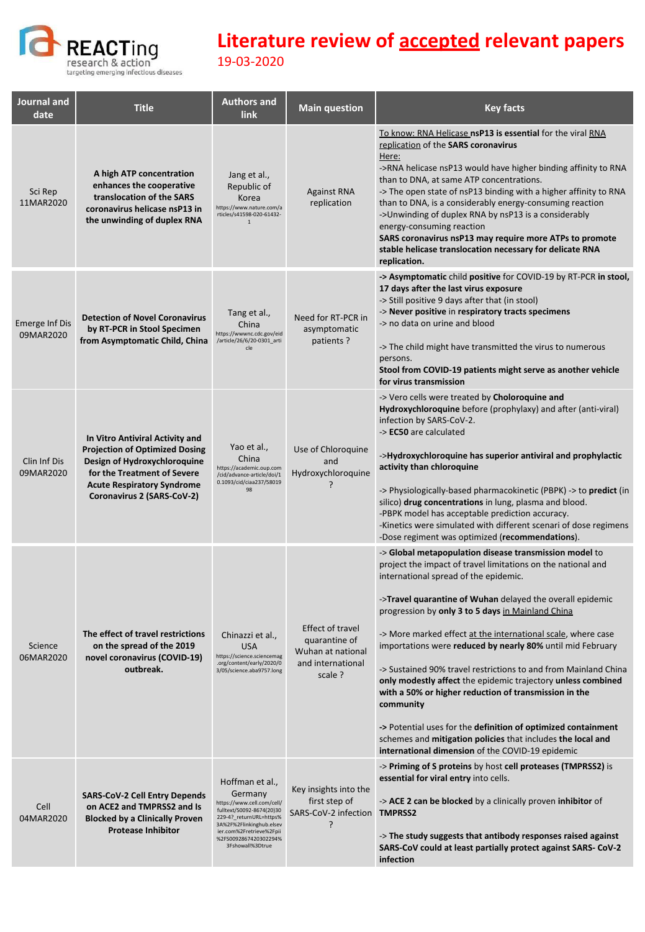

| Journal and<br>date         | <b>Title</b>                                                                                                                                                                                               | <b>Authors and</b><br><b>link</b>                                                                                                                                                                                     | <b>Main question</b>                                                                   | <b>Key facts</b>                                                                                                                                                                                                                                                                                                                                                                                                                                                                                                                                                                                                                                                                                                                                                                                             |
|-----------------------------|------------------------------------------------------------------------------------------------------------------------------------------------------------------------------------------------------------|-----------------------------------------------------------------------------------------------------------------------------------------------------------------------------------------------------------------------|----------------------------------------------------------------------------------------|--------------------------------------------------------------------------------------------------------------------------------------------------------------------------------------------------------------------------------------------------------------------------------------------------------------------------------------------------------------------------------------------------------------------------------------------------------------------------------------------------------------------------------------------------------------------------------------------------------------------------------------------------------------------------------------------------------------------------------------------------------------------------------------------------------------|
| Sci Rep<br>11MAR2020        | A high ATP concentration<br>enhances the cooperative<br>translocation of the SARS<br>coronavirus helicase nsP13 in<br>the unwinding of duplex RNA                                                          | Jang et al.,<br>Republic of<br>Korea<br>https://www.nature.com/a<br>rticles/s41598-020-61432-<br>$\overline{1}$                                                                                                       | <b>Against RNA</b><br>replication                                                      | To know: RNA Helicase nsP13 is essential for the viral RNA<br>replication of the SARS coronavirus<br>Here:<br>->RNA helicase nsP13 would have higher binding affinity to RNA<br>than to DNA, at same ATP concentrations.<br>-> The open state of nsP13 binding with a higher affinity to RNA<br>than to DNA, is a considerably energy-consuming reaction<br>->Unwinding of duplex RNA by nsP13 is a considerably<br>energy-consuming reaction<br>SARS coronavirus nsP13 may require more ATPs to promote<br>stable helicase translocation necessary for delicate RNA<br>replication.                                                                                                                                                                                                                         |
| Emerge Inf Dis<br>09MAR2020 | <b>Detection of Novel Coronavirus</b><br>by RT-PCR in Stool Specimen<br>from Asymptomatic Child, China                                                                                                     | Tang et al.,<br>China<br>https://wwwnc.cdc.gov/eid<br>/article/26/6/20-0301_arti<br>cle                                                                                                                               | Need for RT-PCR in<br>asymptomatic<br>patients?                                        | -> Asymptomatic child positive for COVID-19 by RT-PCR in stool,<br>17 days after the last virus exposure<br>-> Still positive 9 days after that (in stool)<br>-> Never positive in respiratory tracts specimens<br>-> no data on urine and blood<br>-> The child might have transmitted the virus to numerous<br>persons.<br>Stool from COVID-19 patients might serve as another vehicle<br>for virus transmission                                                                                                                                                                                                                                                                                                                                                                                           |
| Clin Inf Dis<br>09MAR2020   | In Vitro Antiviral Activity and<br><b>Projection of Optimized Dosing</b><br>Design of Hydroxychloroquine<br>for the Treatment of Severe<br><b>Acute Respiratory Syndrome</b><br>Coronavirus 2 (SARS-CoV-2) | Yao et al.,<br>China<br>https://academic.oup.com<br>/cid/advance-article/doi/1<br>0.1093/cid/ciaa237/58019<br>98                                                                                                      | Use of Chloroquine<br>and<br>Hydroxychloroquine<br>?                                   | -> Vero cells were treated by Choloroquine and<br>Hydroxychloroquine before (prophylaxy) and after (anti-viral)<br>infection by SARS-CoV-2.<br>-> EC50 are calculated<br>->Hydroxychloroquine has superior antiviral and prophylactic<br>activity than chloroquine<br>-> Physiologically-based pharmacokinetic (PBPK) -> to <b>predict</b> (in<br>silico) drug concentrations in lung, plasma and blood.<br>-PBPK model has acceptable prediction accuracy.<br>-Kinetics were simulated with different scenari of dose regimens<br>-Dose regiment was optimized (recommendations).                                                                                                                                                                                                                           |
| Science<br>06MAR2020        | The effect of travel restrictions<br>on the spread of the 2019<br>novel coronavirus (COVID-19)<br>outbreak.                                                                                                | Chinazzi et al.,<br><b>USA</b><br>https://science.sciencemag<br>.org/content/early/2020/0<br>3/05/science.aba9757.long                                                                                                | Effect of travel<br>quarantine of<br>Wuhan at national<br>and international<br>scale ? | -> Global metapopulation disease transmission model to<br>project the impact of travel limitations on the national and<br>international spread of the epidemic.<br>->Travel quarantine of Wuhan delayed the overall epidemic<br>progression by only 3 to 5 days in Mainland China<br>-> More marked effect at the international scale, where case<br>importations were reduced by nearly 80% until mid February<br>-> Sustained 90% travel restrictions to and from Mainland China<br>only modestly affect the epidemic trajectory unless combined<br>with a 50% or higher reduction of transmission in the<br>community<br>-> Potential uses for the definition of optimized containment<br>schemes and mitigation policies that includes the local and<br>international dimension of the COVID-19 epidemic |
| Cell<br>04MAR2020           | <b>SARS-CoV-2 Cell Entry Depends</b><br>on ACE2 and TMPRSS2 and Is<br><b>Blocked by a Clinically Proven</b><br><b>Protease Inhibitor</b>                                                                   | Hoffman et al.,<br>Germany<br>https://www.cell.com/cell/<br>fulltext/S0092-8674(20)30<br>229-4?_returnURL=https%<br>3A%2F%2Flinkinghub.elsev<br>ier.com%2Fretrieve%2Fpii<br>%2FS0092867420302294%<br>3Fshowall%3Dtrue | Key insights into the<br>first step of<br>SARS-CoV-2 infection TMPRSS2<br>7            | -> Priming of S proteins by host cell proteases (TMPRSS2) is<br>essential for viral entry into cells.<br>-> ACE 2 can be blocked by a clinically proven inhibitor of<br>-> The study suggests that antibody responses raised against<br>SARS-CoV could at least partially protect against SARS-CoV-2<br>infection                                                                                                                                                                                                                                                                                                                                                                                                                                                                                            |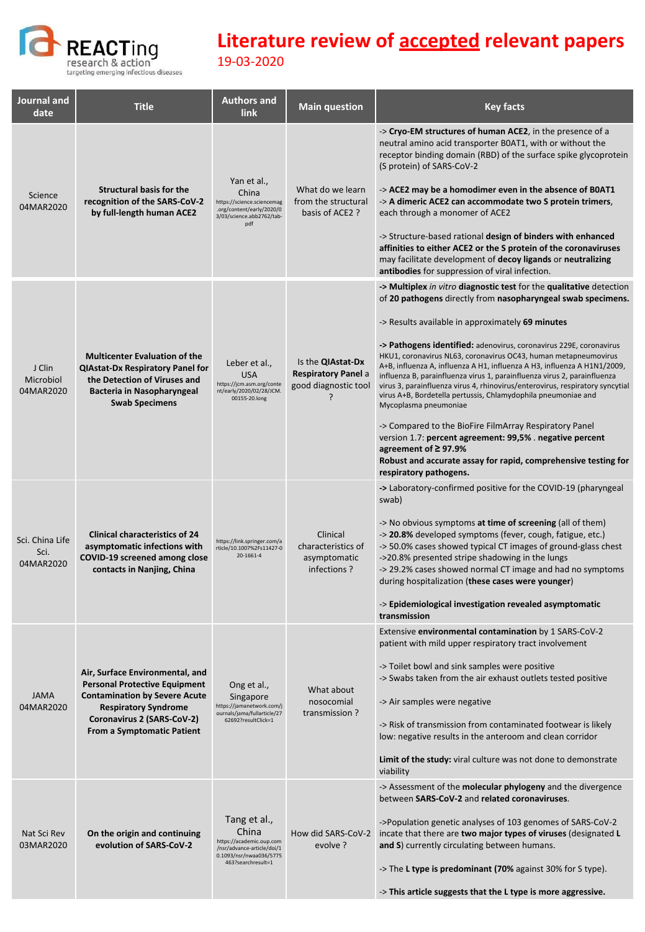

| Journal and<br>date                  | <b>Title</b>                                                                                                                                                                                               | <b>Authors and</b><br>link                                                                                                       | <b>Main question</b>                                                                | <b>Key facts</b>                                                                                                                                                                                                                                                                                                                                                                                                                                                                                                                                                                                                                                                                                                                                                                                                                                                                                                   |
|--------------------------------------|------------------------------------------------------------------------------------------------------------------------------------------------------------------------------------------------------------|----------------------------------------------------------------------------------------------------------------------------------|-------------------------------------------------------------------------------------|--------------------------------------------------------------------------------------------------------------------------------------------------------------------------------------------------------------------------------------------------------------------------------------------------------------------------------------------------------------------------------------------------------------------------------------------------------------------------------------------------------------------------------------------------------------------------------------------------------------------------------------------------------------------------------------------------------------------------------------------------------------------------------------------------------------------------------------------------------------------------------------------------------------------|
| Science<br>04MAR2020                 | <b>Structural basis for the</b><br>recognition of the SARS-CoV-2<br>by full-length human ACE2                                                                                                              | Yan et al.,<br>China<br>https://science.sciencemag<br>.org/content/early/2020/0<br>3/03/science.abb2762/tab-<br>pdf              | What do we learn<br>from the structural<br>basis of ACE2 ?                          | -> Cryo-EM structures of human ACE2, in the presence of a<br>neutral amino acid transporter B0AT1, with or without the<br>receptor binding domain (RBD) of the surface spike glycoprotein<br>(S protein) of SARS-CoV-2<br>-> ACE2 may be a homodimer even in the absence of B0AT1<br>-> A dimeric ACE2 can accommodate two S protein trimers,<br>each through a monomer of ACE2<br>-> Structure-based rational design of binders with enhanced<br>affinities to either ACE2 or the S protein of the coronaviruses<br>may facilitate development of <b>decoy ligands</b> or <b>neutralizing</b><br>antibodies for suppression of viral infection.                                                                                                                                                                                                                                                                   |
| J Clin<br>Microbiol<br>04MAR2020     | <b>Multicenter Evaluation of the</b><br><b>QIAstat-Dx Respiratory Panel for</b><br>the Detection of Viruses and<br><b>Bacteria in Nasopharyngeal</b><br><b>Swab Specimens</b>                              | Leber et al.,<br><b>USA</b><br>https://jcm.asm.org/conte<br>nt/early/2020/02/28/JCM.<br>00155-20.long                            | Is the <b>QIAstat-Dx</b><br><b>Respiratory Panel a</b><br>good diagnostic tool<br>2 | -> Multiplex in vitro diagnostic test for the qualitative detection<br>of 20 pathogens directly from nasopharyngeal swab specimens.<br>-> Results available in approximately 69 minutes<br>-> Pathogens identified: adenovirus, coronavirus 229E, coronavirus<br>HKU1, coronavirus NL63, coronavirus OC43, human metapneumovirus<br>A+B, influenza A, influenza A H1, influenza A H3, influenza A H1N1/2009,<br>influenza B, parainfluenza virus 1, parainfluenza virus 2, parainfluenza<br>virus 3, parainfluenza virus 4, rhinovirus/enterovirus, respiratory syncytial<br>virus A+B, Bordetella pertussis, Chlamydophila pneumoniae and<br>Mycoplasma pneumoniae<br>-> Compared to the BioFire FilmArray Respiratory Panel<br>version 1.7: percent agreement: 99,5% . negative percent<br>agreement of $\geq$ 97.9%<br>Robust and accurate assay for rapid, comprehensive testing for<br>respiratory pathogens. |
| Sci. China Life<br>Sci.<br>04MAR2020 | <b>Clinical characteristics of 24</b><br>asymptomatic infections with<br>COVID-19 screened among close<br>contacts in Nanjing, China                                                                       | https://link.springer.com/a<br>rticle/10.1007%2Fs11427-0<br>20-1661-4                                                            | Clinical<br>characteristics of<br>asymptomatic<br>infections?                       | -> Laboratory-confirmed positive for the COVID-19 (pharyngeal<br>swab)<br>-> No obvious symptoms at time of screening (all of them)<br>-> 20.8% developed symptoms (fever, cough, fatigue, etc.)<br>-> 50.0% cases showed typical CT images of ground-glass chest<br>->20.8% presented stripe shadowing in the lungs<br>-> 29.2% cases showed normal CT image and had no symptoms<br>during hospitalization (these cases were younger)<br>-> Epidemiological investigation revealed asymptomatic<br>transmission                                                                                                                                                                                                                                                                                                                                                                                                   |
| <b>JAMA</b><br>04MAR2020             | Air, Surface Environmental, and<br><b>Personal Protective Equipment</b><br><b>Contamination by Severe Acute</b><br><b>Respiratory Syndrome</b><br>Coronavirus 2 (SARS-CoV-2)<br>From a Symptomatic Patient | Ong et al.,<br>Singapore<br>https://jamanetwork.com/j<br>ournals/jama/fullarticle/27<br>62692?resultClick=1                      | What about<br>nosocomial<br>transmission?                                           | Extensive environmental contamination by 1 SARS-CoV-2<br>patient with mild upper respiratory tract involvement<br>-> Toilet bowl and sink samples were positive<br>-> Swabs taken from the air exhaust outlets tested positive<br>-> Air samples were negative<br>-> Risk of transmission from contaminated footwear is likely<br>low: negative results in the anteroom and clean corridor<br>Limit of the study: viral culture was not done to demonstrate<br>viability                                                                                                                                                                                                                                                                                                                                                                                                                                           |
| Nat Sci Rev<br>03MAR2020             | On the origin and continuing<br>evolution of SARS-CoV-2                                                                                                                                                    | Tang et al.,<br>China<br>https://academic.oup.com<br>/nsr/advance-article/doi/1<br>0.1093/nsr/nwaa036/5775<br>463?searchresult=1 | How did SARS-CoV-2<br>evolve ?                                                      | -> Assessment of the molecular phylogeny and the divergence<br>between SARS-CoV-2 and related coronaviruses.<br>->Population genetic analyses of 103 genomes of SARS-CoV-2<br>incate that there are two major types of viruses (designated L<br>and S) currently circulating between humans.<br>-> The L type is predominant (70% against 30% for S type).<br>-> This article suggests that the L type is more aggressive.                                                                                                                                                                                                                                                                                                                                                                                                                                                                                         |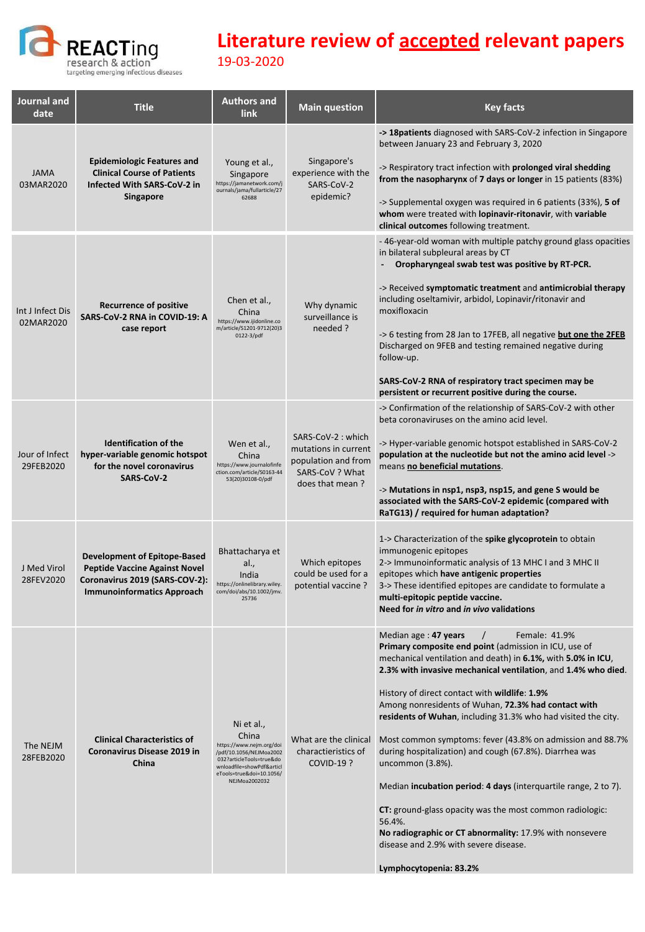

| Journal and<br>date           | <b>Title</b>                                                                                                                                       | <b>Authors and</b><br><b>link</b>                                                                                                                                                | <b>Main question</b>                                                                                   | <b>Key facts</b>                                                                                                                                                                                                                                                                                                                                                                                                                                                                                                                                                                                                                                                                                                                                                                                                                               |
|-------------------------------|----------------------------------------------------------------------------------------------------------------------------------------------------|----------------------------------------------------------------------------------------------------------------------------------------------------------------------------------|--------------------------------------------------------------------------------------------------------|------------------------------------------------------------------------------------------------------------------------------------------------------------------------------------------------------------------------------------------------------------------------------------------------------------------------------------------------------------------------------------------------------------------------------------------------------------------------------------------------------------------------------------------------------------------------------------------------------------------------------------------------------------------------------------------------------------------------------------------------------------------------------------------------------------------------------------------------|
| <b>JAMA</b><br>03MAR2020      | <b>Epidemiologic Features and</b><br><b>Clinical Course of Patients</b><br>Infected With SARS-CoV-2 in<br><b>Singapore</b>                         | Young et al.,<br>Singapore<br>https://jamanetwork.com/j<br>ournals/jama/fullarticle/27<br>62688                                                                                  | Singapore's<br>experience with the<br>SARS-CoV-2<br>epidemic?                                          | -> 18 patients diagnosed with SARS-CoV-2 infection in Singapore<br>between January 23 and February 3, 2020<br>-> Respiratory tract infection with prolonged viral shedding<br>from the nasopharynx of 7 days or longer in 15 patients (83%)<br>-> Supplemental oxygen was required in 6 patients (33%), 5 of<br>whom were treated with lopinavir-ritonavir, with variable<br>clinical outcomes following treatment.                                                                                                                                                                                                                                                                                                                                                                                                                            |
| Int J Infect Dis<br>02MAR2020 | <b>Recurrence of positive</b><br>SARS-CoV-2 RNA in COVID-19: A<br>case report                                                                      | Chen et al.,<br>China<br>https://www.ijidonline.co<br>m/article/S1201-9712(20)3<br>0122-3/pdf                                                                                    | Why dynamic<br>surveillance is<br>needed ?                                                             | - 46-year-old woman with multiple patchy ground glass opacities<br>in bilateral subpleural areas by CT<br>Oropharyngeal swab test was positive by RT-PCR.<br>-> Received symptomatic treatment and antimicrobial therapy<br>including oseltamivir, arbidol, Lopinavir/ritonavir and<br>moxifloxacin<br>-> 6 testing from 28 Jan to 17FEB, all negative but one the 2FEB<br>Discharged on 9FEB and testing remained negative during<br>follow-up.<br>SARS-CoV-2 RNA of respiratory tract specimen may be<br>persistent or recurrent positive during the course.                                                                                                                                                                                                                                                                                 |
| Jour of Infect<br>29FEB2020   | <b>Identification of the</b><br>hyper-variable genomic hotspot<br>for the novel coronavirus<br><b>SARS CoV-2</b>                                   | Wen et al.,<br>China<br>https://www.journalofinfe<br>ction.com/article/S0163-44<br>53(20)30108-0/pdf                                                                             | SARS-CoV-2: which<br>mutations in current<br>population and from<br>SARS-CoV ? What<br>does that mean? | -> Confirmation of the relationship of SARS-CoV-2 with other<br>beta coronaviruses on the amino acid level.<br>-> Hyper-variable genomic hotspot established in SARS-CoV-2<br>population at the nucleotide but not the amino acid level -><br>means no beneficial mutations.<br>-> Mutations in nsp1, nsp3, nsp15, and gene S would be<br>associated with the SARS-CoV-2 epidemic (compared with<br>RaTG13) / required for human adaptation?                                                                                                                                                                                                                                                                                                                                                                                                   |
| J Med Virol<br>28FEV2020      | <b>Development of Epitope-Based</b><br><b>Peptide Vaccine Against Novel</b><br>Coronavirus 2019 (SARS-COV-2):<br><b>Immunoinformatics Approach</b> | Bhattacharya et<br>al.,<br>India<br>https://onlinelibrary.wiley.<br>com/doi/abs/10.1002/jmv.<br>25736                                                                            | Which epitopes<br>could be used for a<br>potential vaccine?                                            | 1-> Characterization of the spike glycoprotein to obtain<br>immunogenic epitopes<br>2-> Immunoinformatic analysis of 13 MHC I and 3 MHC II<br>epitopes which have antigenic properties<br>3-> These identified epitopes are candidate to formulate a<br>multi-epitopic peptide vaccine.<br>Need for in vitro and in vivo validations                                                                                                                                                                                                                                                                                                                                                                                                                                                                                                           |
| The NEJM<br>28FEB2020         | <b>Clinical Characteristics of</b><br>Coronavirus Disease 2019 in<br>China                                                                         | Ni et al.,<br>China<br>https://www.nejm.org/doi<br>/pdf/10.1056/NEJMoa2002<br>032?articleTools=true&do<br>wnloadfile=showPdf&articl<br>eTools=true&doi=10.1056/<br>NEJMoa2002032 | What are the clinical<br>charactieristics of<br><b>COVID-19?</b>                                       | Median age: 47 years<br>Female: 41.9%<br>$\prime$<br>Primary composite end point (admission in ICU, use of<br>mechanical ventilation and death) in 6.1%, with 5.0% in ICU,<br>2.3% with invasive mechanical ventilation, and 1.4% who died.<br>History of direct contact with wildlife: 1.9%<br>Among nonresidents of Wuhan, 72.3% had contact with<br>residents of Wuhan, including 31.3% who had visited the city.<br>Most common symptoms: fever (43.8% on admission and 88.7%<br>during hospitalization) and cough (67.8%). Diarrhea was<br>uncommon (3.8%).<br>Median incubation period: 4 days (interquartile range, 2 to 7).<br><b>CT:</b> ground-glass opacity was the most common radiologic:<br>56.4%.<br>No radiographic or CT abnormality: 17.9% with nonsevere<br>disease and 2.9% with severe disease.<br>Lymphocytopenia: 83.2% |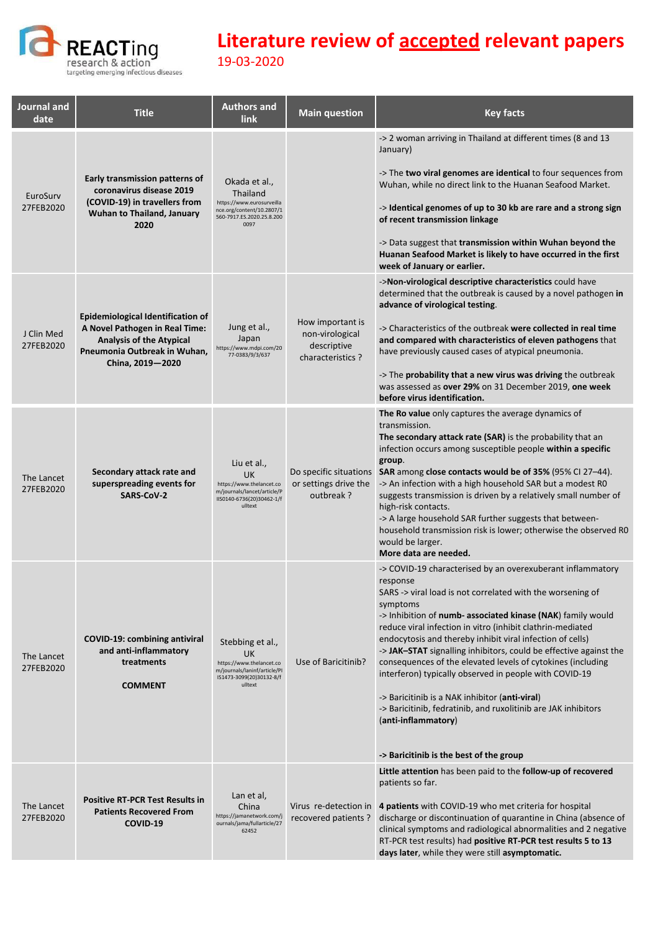

| Journal and<br>date     | <b>Title</b>                                                                                                                                                      | <b>Authors and</b><br><b>link</b>                                                                                           | <b>Main question</b>                                                   | <b>Key facts</b>                                                                                                                                                                                                                                                                                                                                                                                                                                                                                                                                                                                                                                                                                                                       |
|-------------------------|-------------------------------------------------------------------------------------------------------------------------------------------------------------------|-----------------------------------------------------------------------------------------------------------------------------|------------------------------------------------------------------------|----------------------------------------------------------------------------------------------------------------------------------------------------------------------------------------------------------------------------------------------------------------------------------------------------------------------------------------------------------------------------------------------------------------------------------------------------------------------------------------------------------------------------------------------------------------------------------------------------------------------------------------------------------------------------------------------------------------------------------------|
| EuroSurv<br>27FEB2020   | <b>Early transmission patterns of</b><br>coronavirus disease 2019<br>(COVID-19) in travellers from<br>Wuhan to Thailand, January<br>2020                          | Okada et al.,<br>Thailand<br>https://www.eurosurveilla<br>nce.org/content/10.2807/1<br>560-7917.ES.2020.25.8.200<br>0097    |                                                                        | -> 2 woman arriving in Thailand at different times (8 and 13<br>January)<br>-> The two viral genomes are identical to four sequences from<br>Wuhan, while no direct link to the Huanan Seafood Market.<br>-> Identical genomes of up to 30 kb are rare and a strong sign<br>of recent transmission linkage<br>-> Data suggest that transmission within Wuhan beyond the<br>Huanan Seafood Market is likely to have occurred in the first<br>week of January or earlier.                                                                                                                                                                                                                                                                |
| J Clin Med<br>27FEB2020 | <b>Epidemiological Identification of</b><br>A Novel Pathogen in Real Time:<br><b>Analysis of the Atypical</b><br>Pneumonia Outbreak in Wuhan,<br>China, 2019-2020 | Jung et al.,<br>Japan<br>https://www.mdpi.com/20<br>77-0383/9/3/637                                                         | How important is<br>non-virological<br>descriptive<br>characteristics? | ->Non-virological descriptive characteristics could have<br>determined that the outbreak is caused by a novel pathogen in<br>advance of virological testing.<br>-> Characteristics of the outbreak were collected in real time<br>and compared with characteristics of eleven pathogens that<br>have previously caused cases of atypical pneumonia.<br>-> The probability that a new virus was driving the outbreak<br>was assessed as over 29% on 31 December 2019, one week<br>before virus identification.                                                                                                                                                                                                                          |
| The Lancet<br>27FEB2020 | Secondary attack rate and<br>superspreading events for<br><b>SARS-CoV-2</b>                                                                                       | Liu et al.,<br><b>UK</b><br>https://www.thelancet.co<br>m/journals/lancet/article/P<br>IIS0140-6736(20)30462-1/f<br>ulltext | Do specific situations<br>or settings drive the<br>outbreak?           | The Ro value only captures the average dynamics of<br>transmission.<br>The secondary attack rate (SAR) is the probability that an<br>infection occurs among susceptible people within a specific<br>group.<br>SAR among close contacts would be of 35% (95% CI 27-44).<br>-> An infection with a high household SAR but a modest RO<br>suggests transmission is driven by a relatively small number of<br>high-risk contacts.<br>-> A large household SAR further suggests that between-<br>household transmission risk is lower; otherwise the observed R0<br>would be larger.<br>More data are needed.                                                                                                                               |
| The Lancet<br>27FEB2020 | <b>COVID-19: combining antiviral</b><br>and anti-inflammatory<br>treatments<br><b>COMMENT</b>                                                                     | Stebbing et al.,<br>UK<br>https://www.thelancet.co<br>m/journals/laninf/article/Pl<br>IS1473-3099(20)30132-8/f<br>ulltext   | Use of Baricitinib?                                                    | -> COVID-19 characterised by an overexuberant inflammatory<br>response<br>SARS -> viral load is not correlated with the worsening of<br>symptoms<br>-> Inhibition of <b>numb- associated kinase (NAK</b> ) family would<br>reduce viral infection in vitro (inhibit clathrin-mediated<br>endocytosis and thereby inhibit viral infection of cells)<br>-> JAK-STAT signalling inhibitors, could be effective against the<br>consequences of the elevated levels of cytokines (including<br>interferon) typically observed in people with COVID-19<br>-> Baricitinib is a NAK inhibitor (anti-viral)<br>-> Baricitinib, fedratinib, and ruxolitinib are JAK inhibitors<br>(anti-inflammatory)<br>-> Baricitinib is the best of the group |
| The Lancet<br>27FEB2020 | <b>Positive RT-PCR Test Results in</b><br><b>Patients Recovered From</b><br>COVID-19                                                                              | Lan et al,<br>China<br>https://jamanetwork.com/j<br>ournals/jama/fullarticle/27<br>62452                                    | Virus re-detection in<br>recovered patients?                           | Little attention has been paid to the follow-up of recovered<br>patients so far.<br>4 patients with COVID-19 who met criteria for hospital<br>discharge or discontinuation of quarantine in China (absence of<br>clinical symptoms and radiological abnormalities and 2 negative<br>RT-PCR test results) had positive RT-PCR test results 5 to 13<br>days later, while they were still asymptomatic.                                                                                                                                                                                                                                                                                                                                   |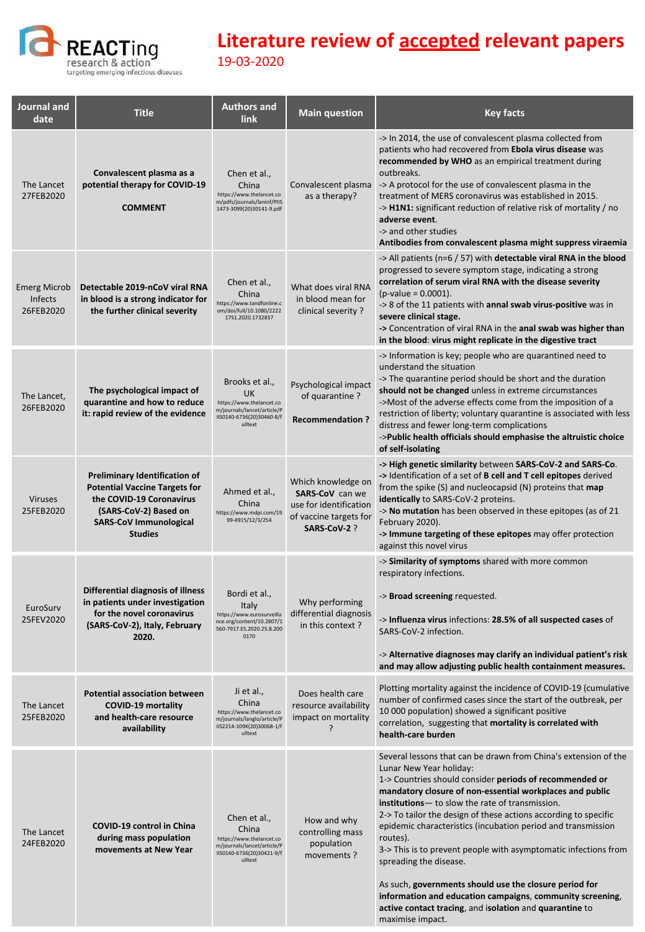

| Journal and<br>date                         | <b>Title</b>                                                                                                                                                                         | <b>Authors and</b><br><b>link</b>                                                                                            | <b>Main question</b>                                                                                     | <b>Key facts</b>                                                                                                                                                                                                                                                                                                                                                                                                                                                                                                                                                                                                                                                                                                       |
|---------------------------------------------|--------------------------------------------------------------------------------------------------------------------------------------------------------------------------------------|------------------------------------------------------------------------------------------------------------------------------|----------------------------------------------------------------------------------------------------------|------------------------------------------------------------------------------------------------------------------------------------------------------------------------------------------------------------------------------------------------------------------------------------------------------------------------------------------------------------------------------------------------------------------------------------------------------------------------------------------------------------------------------------------------------------------------------------------------------------------------------------------------------------------------------------------------------------------------|
| The Lancet<br>27FEB2020                     | Convalescent plasma as a<br>potential therapy for COVID-19<br><b>COMMENT</b>                                                                                                         | Chen et al.,<br>China<br>https://www.thelancet.co<br>m/pdfs/journals/laninf/PIIS<br>1473-3099(20)30141-9.pdf                 | Convalescent plasma<br>as a therapy?                                                                     | -> In 2014, the use of convalescent plasma collected from<br>patients who had recovered from Ebola virus disease was<br>recommended by WHO as an empirical treatment during<br>outbreaks.<br>-> A protocol for the use of convalescent plasma in the<br>treatment of MERS coronavirus was established in 2015.<br>->H1N1: significant reduction of relative risk of mortality / no<br>adverse event.<br>-> and other studies<br>Antibodies from convalescent plasma might suppress viraemia                                                                                                                                                                                                                            |
| <b>Emerg Microb</b><br>Infects<br>26FEB2020 | Detectable 2019-nCoV viral RNA<br>in blood is a strong indicator for<br>the further clinical severity                                                                                | Chen et al.,<br>China<br>https://www.tandfonline.c<br>om/doi/full/10.1080/2222<br>1751.2020.1732837                          | What does viral RNA<br>in blood mean for<br>clinical severity?                                           | -> All patients ( $n=6/57$ ) with detectable viral RNA in the blood<br>progressed to severe symptom stage, indicating a strong<br>correlation of serum viral RNA with the disease severity<br>$(p-value = 0.0001).$<br>-> 8 of the 11 patients with annal swab virus-positive was in<br>severe clinical stage.<br>-> Concentration of viral RNA in the anal swab was higher than<br>in the blood: virus might replicate in the digestive tract                                                                                                                                                                                                                                                                         |
| The Lancet,<br>26FEB2020                    | The psychological impact of<br>quarantine and how to reduce<br>it: rapid review of the evidence                                                                                      | Brooks et al.,<br>UK<br>https://www.thelancet.co<br>m/journals/lancet/article/P<br>IIS0140-6736(20)30460-8/f<br>ulltext      | Psychological impact<br>of quarantine?<br><b>Recommendation?</b>                                         | -> Information is key; people who are quarantined need to<br>understand the situation<br>-> The quarantine period should be short and the duration<br>should not be changed unless in extreme circumstances<br>->Most of the adverse effects come from the imposition of a<br>restriction of liberty; voluntary quarantine is associated with less<br>distress and fewer long-term complications<br>->Public health officials should emphasise the altruistic choice<br>of self-isolating                                                                                                                                                                                                                              |
| <b>Viruses</b><br>25FEB2020                 | <b>Preliminary Identification of</b><br><b>Potential Vaccine Targets for</b><br>the COVID-19 Coronavirus<br>(SARS-CoV-2) Based on<br><b>SARS-CoV Immunological</b><br><b>Studies</b> | Ahmed et al.,<br>China<br>https://www.mdpi.com/19<br>99-4915/12/3/254                                                        | Which knowledge on<br>SARS-CoV can we<br>use for identification<br>of vaccine targets for<br>SARS-CoV-2? | -> High genetic similarity between SARS-CoV-2 and SARS-Co.<br>-> Identification of a set of <b>B cell and T cell epitopes</b> derived<br>from the spike (S) and nucleocapsid (N) proteins that map<br>identically to SARS-CoV-2 proteins.<br>-> No mutation has been observed in these epitopes (as of 21<br>February 2020).<br>-> Immune targeting of these epitopes may offer protection<br>against this novel virus                                                                                                                                                                                                                                                                                                 |
| EuroSurv<br>25FEV2020                       | Differential diagnosis of illness<br>in patients under investigation<br>for the novel coronavirus<br>(SARS-CoV-2), Italy, February<br>2020.                                          | Bordi et al.,<br><b>Italy</b><br>https://www.eurosurveilla<br>nce.org/content/10.2807/1<br>560-7917.ES.2020.25.8.200<br>0170 | Why performing<br>differential diagnosis<br>in this context?                                             | -> Similarity of symptoms shared with more common<br>respiratory infections.<br>-> Broad screening requested.<br>-> Influenza virus infections: 28.5% of all suspected cases of<br>SARS-CoV-2 infection.<br>-> Alternative diagnoses may clarify an individual patient's risk<br>and may allow adjusting public health containment measures.                                                                                                                                                                                                                                                                                                                                                                           |
| The Lancet<br>25FEB2020                     | <b>Potential association between</b><br><b>COVID-19 mortality</b><br>and health-care resource<br>availability                                                                        | Ji et al.,<br>China<br>https://www.thelancet.co<br>m/journals/langlo/article/P<br>IIS2214-109X(20)30068-1/f<br>ulltext       | Does health care<br>resource availability<br>impact on mortality<br>ŗ                                    | Plotting mortality against the incidence of COVID-19 (cumulative<br>number of confirmed cases since the start of the outbreak, per<br>10 000 population) showed a significant positive<br>correlation, suggesting that mortality is correlated with<br>health-care burden                                                                                                                                                                                                                                                                                                                                                                                                                                              |
| The Lancet<br>24FEB2020                     | <b>COVID-19 control in China</b><br>during mass population<br>movements at New Year                                                                                                  | Chen et al.,<br>China<br>https://www.thelancet.co<br>m/journals/lancet/article/P<br>IIS0140-6736(20)30421-9/f<br>ulltext     | How and why<br>controlling mass<br>population<br>movements?                                              | Several lessons that can be drawn from China's extension of the<br>Lunar New Year holiday:<br>1-> Countries should consider periods of recommended or<br>mandatory closure of non-essential workplaces and public<br>institutions- to slow the rate of transmission.<br>2-> To tailor the design of these actions according to specific<br>epidemic characteristics (incubation period and transmission<br>routes).<br>3-> This is to prevent people with asymptomatic infections from<br>spreading the disease.<br>As such, governments should use the closure period for<br>information and education campaigns, community screening,<br>active contact tracing, and isolation and quarantine to<br>maximise impact. |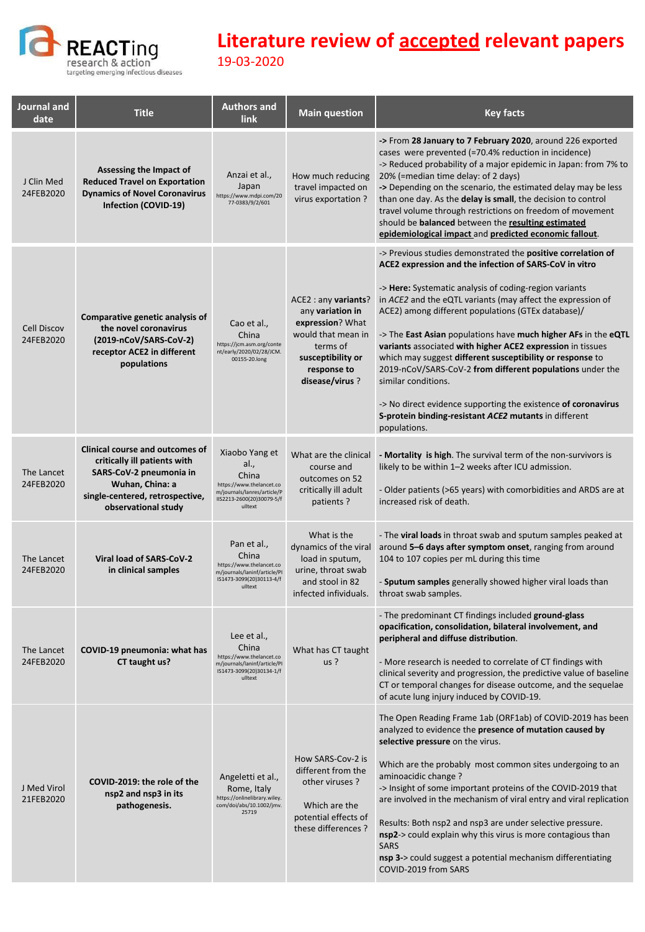

| Journal and<br>date             | <b>Title</b>                                                                                                                                                                   | <b>Authors and</b><br>link                                                                                                         | <b>Main question</b>                                                                                                                                 | <b>Key facts</b>                                                                                                                                                                                                                                                                                                                                                                                                                                                                                                                                                                                                                                                                                                                        |
|---------------------------------|--------------------------------------------------------------------------------------------------------------------------------------------------------------------------------|------------------------------------------------------------------------------------------------------------------------------------|------------------------------------------------------------------------------------------------------------------------------------------------------|-----------------------------------------------------------------------------------------------------------------------------------------------------------------------------------------------------------------------------------------------------------------------------------------------------------------------------------------------------------------------------------------------------------------------------------------------------------------------------------------------------------------------------------------------------------------------------------------------------------------------------------------------------------------------------------------------------------------------------------------|
| J Clin Med<br>24FEB2020         | Assessing the Impact of<br><b>Reduced Travel on Exportation</b><br><b>Dynamics of Novel Coronavirus</b><br>Infection (COVID-19)                                                | Anzai et al.,<br>Japan<br>https://www.mdpi.com/20<br>77-0383/9/2/601                                                               | How much reducing<br>travel impacted on<br>virus exportation?                                                                                        | -> From 28 January to 7 February 2020, around 226 exported<br>cases were prevented (=70.4% reduction in incidence)<br>-> Reduced probability of a major epidemic in Japan: from 7% to<br>20% (=median time delay: of 2 days)<br>-> Depending on the scenario, the estimated delay may be less<br>than one day. As the delay is small, the decision to control<br>travel volume through restrictions on freedom of movement<br>should be <b>balanced</b> between the <b>resulting estimated</b><br>epidemiological impact and predicted economic fallout.                                                                                                                                                                                |
| <b>Cell Discov</b><br>24FEB2020 | Comparative genetic analysis of<br>the novel coronavirus<br>(2019-nCoV/SARS-CoV-2)<br>receptor ACE2 in different<br>populations                                                | Cao et al.,<br>China<br>https://jcm.asm.org/conte<br>nt/early/2020/02/28/JCM.<br>00155-20.long                                     | ACE2: any variants?<br>any variation in<br>expression? What<br>would that mean in<br>terms of<br>susceptibility or<br>response to<br>disease/virus ? | -> Previous studies demonstrated the positive correlation of<br>ACE2 expression and the infection of SARS-CoV in vitro<br>-> <b>Here:</b> Systematic analysis of coding-region variants<br>in ACE2 and the eQTL variants (may affect the expression of<br>ACE2) among different populations (GTEx database)/<br>-> The East Asian populations have much higher AFs in the eQTL<br>variants associated with higher ACE2 expression in tissues<br>which may suggest different susceptibility or response to<br>2019-nCoV/SARS-CoV-2 from different populations under the<br>similar conditions.<br>-> No direct evidence supporting the existence of coronavirus<br>S-protein binding-resistant ACE2 mutants in different<br>populations. |
| The Lancet<br>24FEB2020         | <b>Clinical course and outcomes of</b><br>critically ill patients with<br>SARS-CoV-2 pneumonia in<br>Wuhan, China: a<br>single-centered, retrospective,<br>observational study | Xiaobo Yang et<br>al.,<br>China<br>https://www.thelancet.co<br>m/journals/lanres/article/P<br>IIS2213-2600(20)30079-5/f<br>ulltext | What are the clinical<br>course and<br>outcomes on 52<br>critically ill adult<br>patients?                                                           | - Mortality is high. The survival term of the non-survivors is<br>likely to be within 1-2 weeks after ICU admission.<br>- Older patients (>65 years) with comorbidities and ARDS are at<br>increased risk of death.                                                                                                                                                                                                                                                                                                                                                                                                                                                                                                                     |
| The Lancet<br>24FEB2020         | Viral load of SARS-CoV-2<br>in clinical samples                                                                                                                                | Pan et al.,<br>China<br>https://www.thelancet.co<br>m/journals/laninf/article/PI<br>IS1473-3099(20)30113-4/f<br>ulltext            | What is the<br>dynamics of the viral<br>load in sputum,<br>urine, throat swab<br>and stool in 82<br>infected infividuals.                            | - The <b>viral loads</b> in throat swab and sputum samples peaked at<br>around 5-6 days after symptom onset, ranging from around<br>104 to 107 copies per mL during this time<br>- Sputum samples generally showed higher viral loads than<br>throat swab samples.                                                                                                                                                                                                                                                                                                                                                                                                                                                                      |
| The Lancet<br>24FEB2020         | COVID-19 pneumonia: what has<br>CT taught us?                                                                                                                                  | Lee et al.,<br>China<br>https://www.thelancet.co<br>m/journals/laninf/article/PI<br>IS1473-3099(20)30134-1/f<br>ulltext            | What has CT taught<br>$us$ ?                                                                                                                         | - The predominant CT findings included ground-glass<br>opacification, consolidation, bilateral involvement, and<br>peripheral and diffuse distribution.<br>- More research is needed to correlate of CT findings with<br>clinical severity and progression, the predictive value of baseline<br>CT or temporal changes for disease outcome, and the sequelae<br>of acute lung injury induced by COVID-19.                                                                                                                                                                                                                                                                                                                               |
| J Med Virol<br>21FEB2020        | COVID-2019: the role of the<br>nsp2 and nsp3 in its<br>pathogenesis.                                                                                                           | Angeletti et al.,<br>Rome, Italy<br>https://onlinelibrary.wiley.<br>com/doi/abs/10.1002/jmv.<br>25719                              | How SARS-Cov-2 is<br>different from the<br>other viruses?<br>Which are the<br>potential effects of<br>these differences ?                            | The Open Reading Frame 1ab (ORF1ab) of COVID-2019 has been<br>analyzed to evidence the presence of mutation caused by<br>selective pressure on the virus.<br>Which are the probably most common sites undergoing to an<br>aminoacidic change?<br>-> Insight of some important proteins of the COVID-2019 that<br>are involved in the mechanism of viral entry and viral replication<br>Results: Both nsp2 and nsp3 are under selective pressure.<br>nsp2-> could explain why this virus is more contagious than<br><b>SARS</b><br>nsp 3-> could suggest a potential mechanism differentiating<br>COVID-2019 from SARS                                                                                                                   |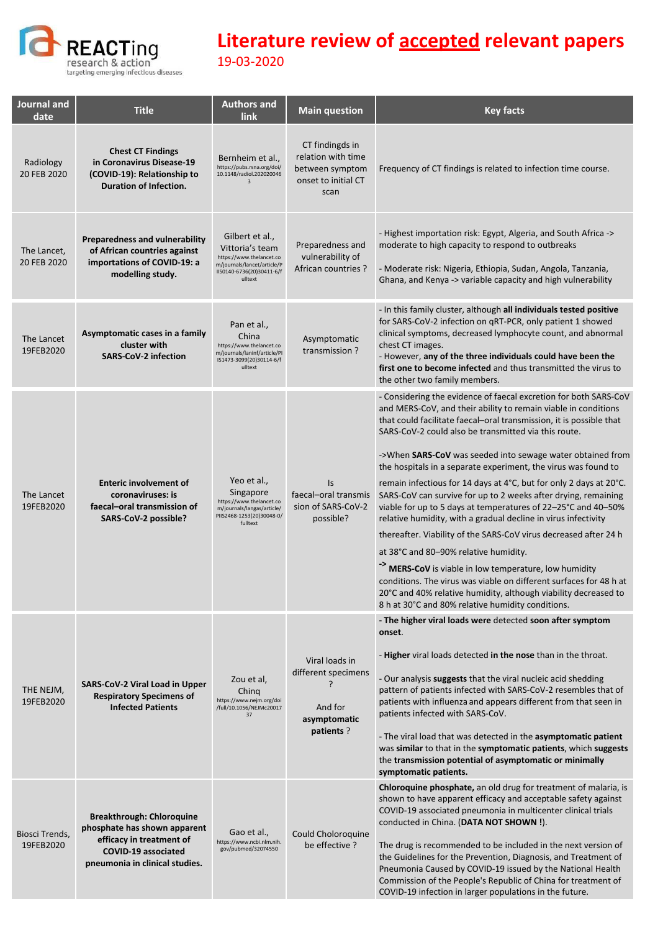

| Journal and<br>date         | <b>Title</b>                                                                                                                                          | <b>Authors and</b><br><b>link</b>                                                                                                     | <b>Main question</b>                                                                    | <b>Key facts</b>                                                                                                                                                                                                                                                                                                                                                                                                                                                                                                                                                                                                                                                                                                                                                                                                                                                                                                                                                                                                                                  |
|-----------------------------|-------------------------------------------------------------------------------------------------------------------------------------------------------|---------------------------------------------------------------------------------------------------------------------------------------|-----------------------------------------------------------------------------------------|---------------------------------------------------------------------------------------------------------------------------------------------------------------------------------------------------------------------------------------------------------------------------------------------------------------------------------------------------------------------------------------------------------------------------------------------------------------------------------------------------------------------------------------------------------------------------------------------------------------------------------------------------------------------------------------------------------------------------------------------------------------------------------------------------------------------------------------------------------------------------------------------------------------------------------------------------------------------------------------------------------------------------------------------------|
| Radiology<br>20 FEB 2020    | <b>Chest CT Findings</b><br>in Coronavirus Disease-19<br>(COVID-19): Relationship to<br>Duration of Infection.                                        | Bernheim et al.,<br>https://pubs.rsna.org/doi/<br>10.1148/radiol.202020046<br>$\overline{\mathbf{3}}$                                 | CT findingds in<br>relation with time<br>between symptom<br>onset to initial CT<br>scan | Frequency of CT findings is related to infection time course.                                                                                                                                                                                                                                                                                                                                                                                                                                                                                                                                                                                                                                                                                                                                                                                                                                                                                                                                                                                     |
| The Lancet,<br>20 FEB 2020  | <b>Preparedness and vulnerability</b><br>of African countries against<br>importations of COVID-19: a<br>modelling study.                              | Gilbert et al.,<br>Vittoria's team<br>https://www.thelancet.co<br>m/journals/lancet/article/P<br>IIS0140-6736(20)30411-6/f<br>ulltext | Preparedness and<br>vulnerability of<br>African countries ?                             | - Highest importation risk: Egypt, Algeria, and South Africa -><br>moderate to high capacity to respond to outbreaks<br>- Moderate risk: Nigeria, Ethiopia, Sudan, Angola, Tanzania,<br>Ghana, and Kenya -> variable capacity and high vulnerability                                                                                                                                                                                                                                                                                                                                                                                                                                                                                                                                                                                                                                                                                                                                                                                              |
| The Lancet<br>19FEB2020     | Asymptomatic cases in a family<br>cluster with<br><b>SARS-CoV-2 infection</b>                                                                         | Pan et al.,<br>China<br>https://www.thelancet.co<br>m/journals/laninf/article/PI<br>IS1473-3099(20)30114-6/f<br>ulltext               | Asymptomatic<br>transmission?                                                           | - In this family cluster, although all individuals tested positive<br>for SARS-CoV-2 infection on qRT-PCR, only patient 1 showed<br>clinical symptoms, decreased lymphocyte count, and abnormal<br>chest CT images.<br>- However, any of the three individuals could have been the<br>first one to become infected and thus transmitted the virus to<br>the other two family members.                                                                                                                                                                                                                                                                                                                                                                                                                                                                                                                                                                                                                                                             |
| The Lancet<br>19FEB2020     | <b>Enteric involvement of</b><br>coronaviruses: is<br>faecal-oral transmission of<br>SARS-CoV-2 possible?                                             | Yeo et al.,<br>Singapore<br>https://www.thelancet.co<br>m/journals/langas/article/<br>PIIS2468-1253(20)30048-0/<br>fulltext           | Is<br>faecal-oral transmis<br>sion of SARS-CoV-2<br>possible?                           | - Considering the evidence of faecal excretion for both SARS-CoV<br>and MERS-CoV, and their ability to remain viable in conditions<br>that could facilitate faecal-oral transmission, it is possible that<br>SARS-CoV-2 could also be transmitted via this route.<br>->When SARS-CoV was seeded into sewage water obtained from<br>the hospitals in a separate experiment, the virus was found to<br>remain infectious for 14 days at 4°C, but for only 2 days at 20°C.<br>SARS-CoV can survive for up to 2 weeks after drying, remaining<br>viable for up to 5 days at temperatures of 22-25°C and 40-50%<br>relative humidity, with a gradual decline in virus infectivity<br>thereafter. Viability of the SARS-CoV virus decreased after 24 h<br>at 38°C and 80-90% relative humidity.<br>-> MERS-CoV is viable in low temperature, low humidity<br>conditions. The virus was viable on different surfaces for 48 h at<br>20°C and 40% relative humidity, although viability decreased to<br>8 h at 30°C and 80% relative humidity conditions. |
| THE NEJM,<br>19FEB2020      | SARS-CoV-2 Viral Load in Upper<br><b>Respiratory Specimens of</b><br><b>Infected Patients</b>                                                         | Zou et al,<br>Ching<br>https://www.nejm.org/doi<br>/full/10.1056/NEJMc20017<br>37                                                     | Viral loads in<br>different specimens<br>And for<br>asymptomatic<br>patients?           | - The higher viral loads were detected soon after symptom<br>onset.<br>- <b>Higher</b> viral loads detected in the nose than in the throat.<br>- Our analysis suggests that the viral nucleic acid shedding<br>pattern of patients infected with SARS-CoV-2 resembles that of<br>patients with influenza and appears different from that seen in<br>patients infected with SARS-CoV.<br>- The viral load that was detected in the asymptomatic patient<br>was similar to that in the symptomatic patients, which suggests<br>the transmission potential of asymptomatic or minimally<br>symptomatic patients.                                                                                                                                                                                                                                                                                                                                                                                                                                     |
| Biosci Trends,<br>19FEB2020 | <b>Breakthrough: Chloroquine</b><br>phosphate has shown apparent<br>efficacy in treatment of<br>COVID-19 associated<br>pneumonia in clinical studies. | Gao et al.,<br>https://www.ncbi.nlm.nih.<br>gov/pubmed/32074550                                                                       | Could Choloroquine<br>be effective?                                                     | <b>Chloroquine phosphate, an old drug for treatment of malaria, is</b><br>shown to have apparent efficacy and acceptable safety against<br>COVID-19 associated pneumonia in multicenter clinical trials<br>conducted in China. (DATA NOT SHOWN!).<br>The drug is recommended to be included in the next version of<br>the Guidelines for the Prevention, Diagnosis, and Treatment of<br>Pneumonia Caused by COVID-19 issued by the National Health<br>Commission of the People's Republic of China for treatment of<br>COVID-19 infection in larger populations in the future.                                                                                                                                                                                                                                                                                                                                                                                                                                                                    |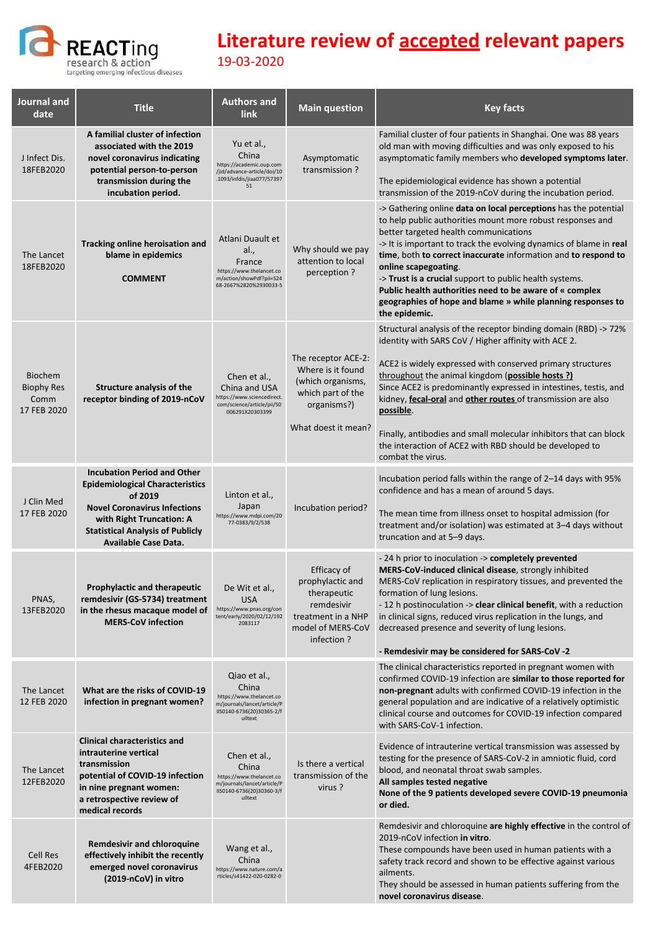

| Journal and<br>date                                        | <b>Title</b>                                                                                                                                                                                                                  | <b>Authors and</b><br><b>link</b>                                                                                        | <b>Main question</b>                                                                                                     | <b>Key facts</b>                                                                                                                                                                                                                                                                                                                                                                                                                                                                                                                               |
|------------------------------------------------------------|-------------------------------------------------------------------------------------------------------------------------------------------------------------------------------------------------------------------------------|--------------------------------------------------------------------------------------------------------------------------|--------------------------------------------------------------------------------------------------------------------------|------------------------------------------------------------------------------------------------------------------------------------------------------------------------------------------------------------------------------------------------------------------------------------------------------------------------------------------------------------------------------------------------------------------------------------------------------------------------------------------------------------------------------------------------|
| J Infect Dis.<br>18FEB2020                                 | A familial cluster of infection<br>associated with the 2019<br>novel coronavirus indicating<br>potential person-to-person<br>transmission during the<br>incubation period.                                                    | Yu et al.,<br>China<br>https://academic.oup.com<br>/jid/advance-article/doi/10<br>.1093/infdis/jiaa077/57397<br>51       | Asymptomatic<br>transmission?                                                                                            | Familial cluster of four patients in Shanghai. One was 88 years<br>old man with moving difficulties and was only exposed to his<br>asymptomatic family members who developed symptoms later.<br>The epidemiological evidence has shown a potential<br>transmission of the 2019-nCoV during the incubation period.                                                                                                                                                                                                                              |
| The Lancet<br>18FEB2020                                    | <b>Tracking online heroisation and</b><br>blame in epidemics<br><b>COMMENT</b>                                                                                                                                                | Atlani Duault et<br>al.,<br>France<br>https://www.thelancet.co<br>m/action/showPdf?pii=S24<br>68-2667%2820%2930033-5     | Why should we pay<br>attention to local<br>perception ?                                                                  | -> Gathering online data on local perceptions has the potential<br>to help public authorities mount more robust responses and<br>better targeted health communications<br>-> It is important to track the evolving dynamics of blame in real<br>time, both to correct inaccurate information and to respond to<br>online scapegoating.<br>-> Trust is a crucial support to public health systems.<br>Public health authorities need to be aware of « complex<br>geographies of hope and blame » while planning responses to<br>the epidemic.   |
| <b>Biochem</b><br><b>Biophy Res</b><br>Comm<br>17 FEB 2020 | Structure analysis of the<br>receptor binding of 2019-nCoV                                                                                                                                                                    | Chen et al.,<br>China and USA<br>https://www.sciencedirect.<br>com/science/article/pii/S0<br>006291X20303399             | The receptor ACE-2:<br>Where is it found<br>(which organisms,<br>which part of the<br>organisms?)<br>What doest it mean? | Structural analysis of the receptor binding domain (RBD) -> 72%<br>identity with SARS CoV / Higher affinity with ACE 2.<br>ACE2 is widely expressed with conserved primary structures<br>throughout the animal kingdom (possible hosts?)<br>Since ACE2 is predominantly expressed in intestines, testis, and<br>kidney, fecal-oral and other routes of transmission are also<br>possible.<br>Finally, antibodies and small molecular inhibitors that can block<br>the interaction of ACE2 with RBD should be developed to<br>combat the virus. |
| J Clin Med<br>17 FEB 2020                                  | <b>Incubation Period and Other</b><br><b>Epidemiological Characteristics</b><br>of 2019<br><b>Novel Coronavirus Infections</b><br>with Right Truncation: A<br><b>Statistical Analysis of Publicly</b><br>Available Case Data. | Linton et al.,<br>Japan<br>https://www.mdpi.com/20<br>77-0383/9/2/538                                                    | Incubation period?                                                                                                       | Incubation period falls within the range of 2-14 days with 95%<br>confidence and has a mean of around 5 days.<br>The mean time from illness onset to hospital admission (for<br>treatment and/or isolation) was estimated at 3-4 days without<br>truncation and at 5-9 days.                                                                                                                                                                                                                                                                   |
| PNAS,<br>13FEB2020                                         | <b>Prophylactic and therapeutic</b><br>remdesivir (GS-5734) treatment<br>in the rhesus macaque model of<br><b>MERS-CoV infection</b>                                                                                          | De Wit et al.,<br><b>USA</b><br>https://www.pnas.org/con<br>tent/early/2020/02/12/192<br>2083117                         | Efficacy of<br>prophylactic and<br>therapeutic<br>remdesivir<br>treatment in a NHP<br>model of MERS-CoV<br>infection?    | - 24 h prior to inoculation -> completely prevented<br>MERS-CoV-induced clinical disease, strongly inhibited<br>MERS-CoV replication in respiratory tissues, and prevented the<br>formation of lung lesions.<br>- 12 h postinoculation -> clear clinical benefit, with a reduction<br>in clinical signs, reduced virus replication in the lungs, and<br>decreased presence and severity of lung lesions.<br>- Remdesivir may be considered for SARS-CoV-2                                                                                      |
| The Lancet<br>12 FEB 2020                                  | What are the risks of COVID-19<br>infection in pregnant women?                                                                                                                                                                | Qiao et al.,<br>China<br>https://www.thelancet.co<br>m/journals/lancet/article/P<br>IIS0140-6736(20)30365-2/f<br>ulltext |                                                                                                                          | The clinical characteristics reported in pregnant women with<br>confirmed COVID-19 infection are similar to those reported for<br>non-pregnant adults with confirmed COVID-19 infection in the<br>general population and are indicative of a relatively optimistic<br>clinical course and outcomes for COVID-19 infection compared<br>with SARS-CoV-1 infection.                                                                                                                                                                               |
| The Lancet<br>12FEB2020                                    | <b>Clinical characteristics and</b><br>intrauterine vertical<br>transmission<br>potential of COVID-19 infection<br>in nine pregnant women:<br>a retrospective review of<br>medical records                                    | Chen et al.,<br>China<br>https://www.thelancet.co<br>m/journals/lancet/article/P<br>IIS0140-6736(20)30360-3/f<br>ulltext | Is there a vertical<br>transmission of the<br>virus?                                                                     | Evidence of intrauterine vertical transmission was assessed by<br>testing for the presence of SARS-CoV-2 in amniotic fluid, cord<br>blood, and neonatal throat swab samples.<br>All samples tested negative<br>None of the 9 patients developed severe COVID-19 pneumonia<br>or died.                                                                                                                                                                                                                                                          |
| Cell Res<br>4FEB2020                                       | <b>Remdesivir and chloroquine</b><br>effectively inhibit the recently<br>emerged novel coronavirus<br>(2019-nCoV) in vitro                                                                                                    | Wang et al.,<br>China<br>https://www.nature.com/a<br>rticles/s41422-020-0282-0                                           |                                                                                                                          | Remdesivir and chloroquine are highly effective in the control of<br>2019-nCoV infection in vitro.<br>These compounds have been used in human patients with a<br>safety track record and shown to be effective against various<br>ailments.<br>They should be assessed in human patients suffering from the<br>novel coronavirus disease.                                                                                                                                                                                                      |